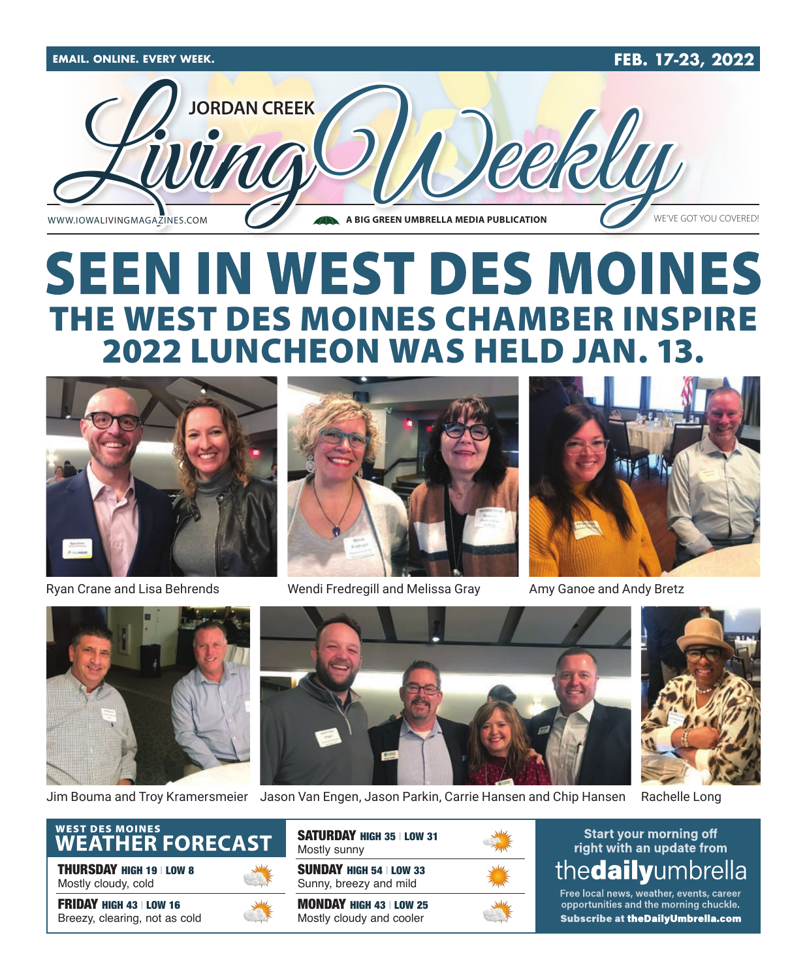

## **SEEN IN WEST DES MOINES** THE WEST DES MOINES CHAMBER INSPIRE 2022 LUNCHEON WAS HELD JAN.



Ryan Crane and Lisa Behrends



Wendi Fredregill and Melissa Gray



Amy Ganoe and Andy Bretz







Jim Bouma and Troy Kramersmeier Jason Van Engen, Jason Parkin, Carrie Hansen and Chip Hansen Rachelle Long



THURSDAY HIGH 19 | LOW 8 Mostly cloudy, cold

FRIDAY HIGH 43 | LOW 16 Breezy, clearing, not as cold



SUNDAY HIGH 54 | LOW 33 Sunny, breezy and mild MONDAY HIGH 43 | LOW 25 Mostly cloudy and cooler SATURDAY HIGH 35 | LOW 31 Mostly sunny



**Start your morning off** right with an update from thedailyumbrella

Free local news, weather, events, career opportunities and the morning chuckle. Subscribe at the Daily Umbrella.com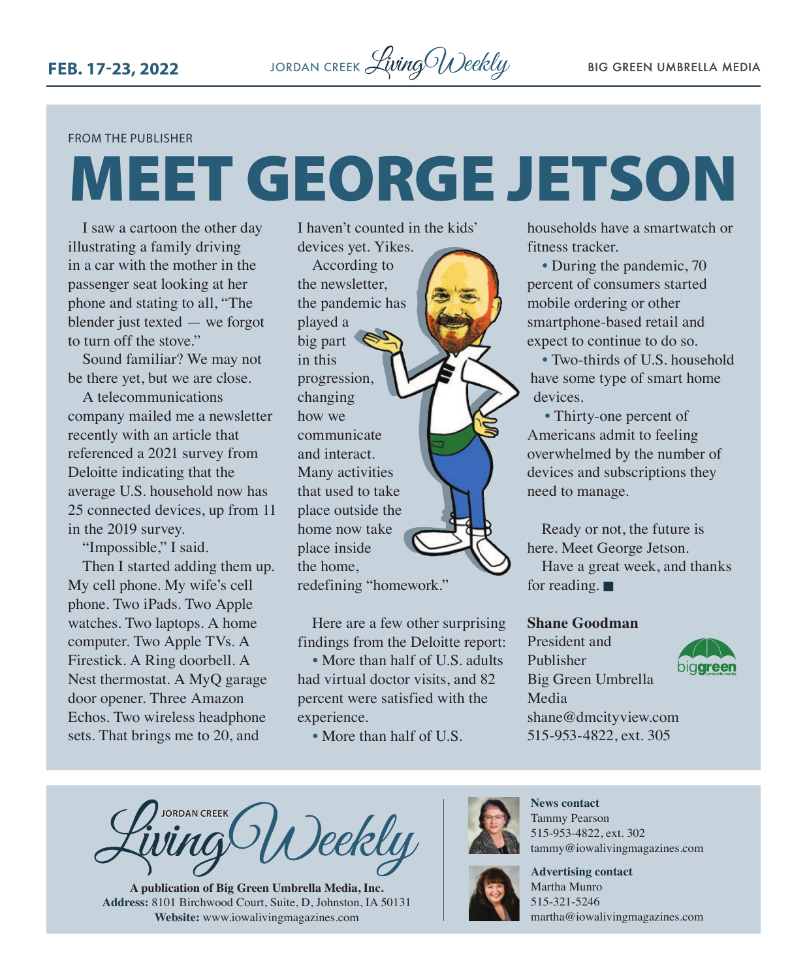#### FROM THE PUBLISHER

# MEET GEORGE JETSON

I saw a cartoon the other day illustrating a family driving in a car with the mother in the passenger seat looking at her phone and stating to all, "The blender just texted — we forgot to turn off the stove."

Sound familiar? We may not be there yet, but we are close.

A telecommunications company mailed me a newsletter recently with an article that referenced a 2021 survey from Deloitte indicating that the average U.S. household now has 25 connected devices, up from 11 in the 2019 survey.

"Impossible," I said. Then I started adding them up. My cell phone. My wife's cell phone. Two iPads. Two Apple watches. Two laptops. A home computer. Two Apple TVs. A Firestick. A Ring doorbell. A Nest thermostat. A MyQ garage door opener. Three Amazon Echos. Two wireless headphone sets. That brings me to 20, and

I haven't counted in the kids' devices yet. Yikes.

According to the newsletter, the pandemic has played a big part in this progression, changing how we communicate and interact. Many activities that used to take place outside the home now take place inside the home, redefining "homework."

Here are a few other surprising findings from the Deloitte report:

• More than half of U.S. adults had virtual doctor visits, and 82 percent were satisfied with the experience.

• More than half of U.S.

households have a smartwatch or fitness tracker.

• During the pandemic, 70 percent of consumers started mobile ordering or other smartphone-based retail and expect to continue to do so.

• Two-thirds of U.S. household have some type of smart home devices.

• Thirty-one percent of Americans admit to feeling overwhelmed by the number of devices and subscriptions they need to manage.

Ready or not, the future is here. Meet George Jetson.

Have a great week, and thanks for reading.  $\blacksquare$ 

### **Shane Goodman**

President and Publisher Big Green Umbrella Media [shane@dmcityview.com](mailto:shane@dmcityview.com) 515-953-4822, ext. 305



**JORDAN CREEK** Deekly

**A publication of Big Green Umbrella Media, Inc. Address:** 8101 Birchwood Court, Suite, D, Johnston, IA 50131 **Website:** [www.iowalivingmagazines.com](http://www.iowalivingmagazines.com)



**News contact** Tammy Pearson 515-953-4822, ext. 302 [tammy@iowalivingmagazines.com](mailto:tammy@iowalivingmagazines.com)

**Advertising contact**

Martha Munro 515-321-5246 [martha@iowalivingmagazines.com](mailto:martha@iowalivingmagazines.com)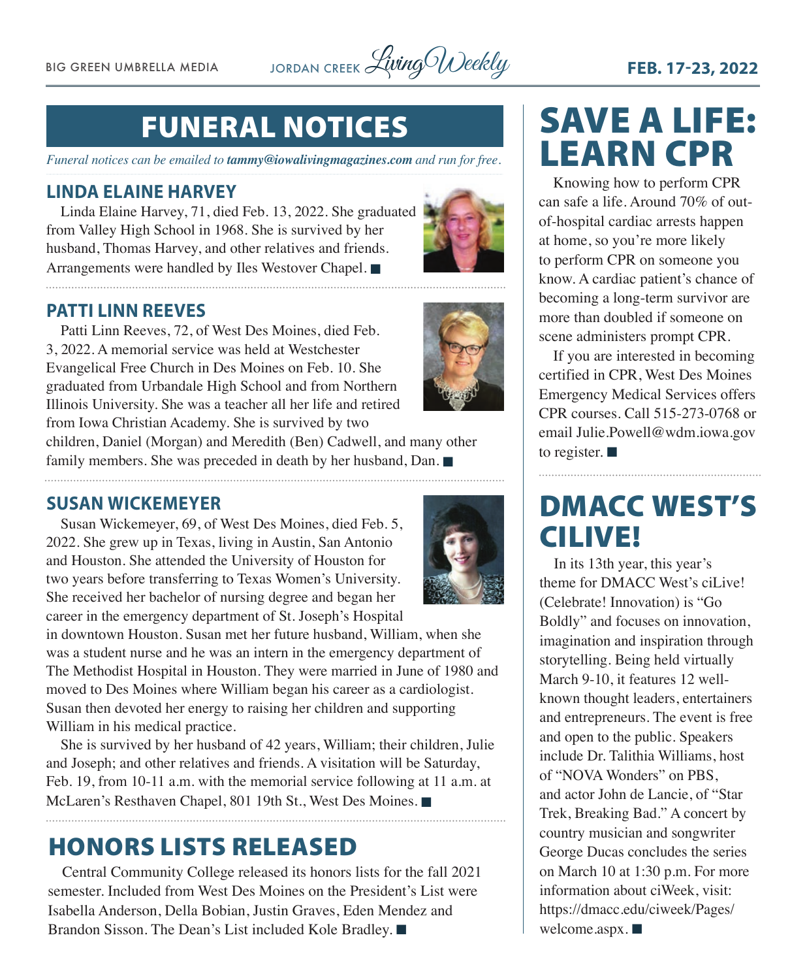BIG GREEN UMBRELLA MEDIA JORDAN CREEK Living Weekly **FEB. 17-23, 2022** 

## FUNERAL NOTICES

*Funeral notices can be emailed to [tammy@iowalivingmagazines.com](mailto:tammy@iowalivingmagazines.com) and run for free.*

### **LINDA ELAINE HARVEY**

Linda Elaine Harvey, 71, died Feb. 13, 2022. She graduated from Valley High School in 1968. She is survived by her husband, Thomas Harvey, and other relatives and friends. Arrangements were handled by Iles Westover Chapel.



### **PATTI LINN REEVES**

Patti Linn Reeves, 72, of West Des Moines, died Feb. 3, 2022. A memorial service was held at Westchester Evangelical Free Church in Des Moines on Feb. 10. She graduated from Urbandale High School and from Northern Illinois University. She was a teacher all her life and retired from Iowa Christian Academy. She is survived by two children, Daniel (Morgan) and Meredith (Ben) Cadwell, and many other family members. She was preceded in death by her husband, Dan.  $\blacksquare$ 

**SUSAN WICKEMEYER**

Susan Wickemeyer, 69, of West Des Moines, died Feb. 5, 2022. She grew up in Texas, living in Austin, San Antonio and Houston. She attended the University of Houston for two years before transferring to Texas Women's University. She received her bachelor of nursing degree and began her career in the emergency department of St. Joseph's Hospital

in downtown Houston. Susan met her future husband, William, when she was a student nurse and he was an intern in the emergency department of The Methodist Hospital in Houston. They were married in June of 1980 and moved to Des Moines where William began his career as a cardiologist. Susan then devoted her energy to raising her children and supporting William in his medical practice.

She is survived by her husband of 42 years, William; their children, Julie and Joseph; and other relatives and friends. A visitation will be Saturday, Feb. 19, from 10-11 a.m. with the memorial service following at 11 a.m. at McLaren's Resthaven Chapel, 801 19th St., West Des Moines.

### HONORS LISTS RELEASED

Central Community College released its honors lists for the fall 2021 semester. Included from West Des Moines on the President's List were Isabella Anderson, Della Bobian, Justin Graves, Eden Mendez and Brandon Sisson. The Dean's List included Kole Bradley.

## SAVE A LIFE: LEARN CPR

Knowing how to perform CPR can safe a life. Around 70% of outof-hospital cardiac arrests happen at home, so you're more likely to perform CPR on someone you know. A cardiac patient's chance of becoming a long-term survivor are more than doubled if someone on scene administers prompt CPR.

If you are interested in becoming certified in CPR, West Des Moines Emergency Medical Services offers CPR courses. Call 515-273-0768 or email [Julie.Powell@wdm.iowa.gov](mailto:Julie.Powell@wdm.iowa.gov) to register.  $\blacksquare$ 

## DMACC WEST'S CILIVE!

In its 13th year, this year's theme for DMACC West's ciLive! (Celebrate! Innovation) is "Go Boldly" and focuses on innovation, imagination and inspiration through storytelling. Being held virtually March 9-10, it features 12 wellknown thought leaders, entertainers and entrepreneurs. The event is free and open to the public. Speakers include Dr. Talithia Williams, host of "NOVA Wonders" on PBS, and actor John de Lancie, of "Star Trek, Breaking Bad." A concert by country musician and songwriter George Ducas concludes the series on March 10 at 1:30 p.m. For more information about ciWeek, visit: [https://dmacc.edu/ciweek/Pages/](https://dmacc.edu/ciweek/Pages/welcome.aspx) [welcome.aspx](https://dmacc.edu/ciweek/Pages/welcome.aspx).  $\blacksquare$ 

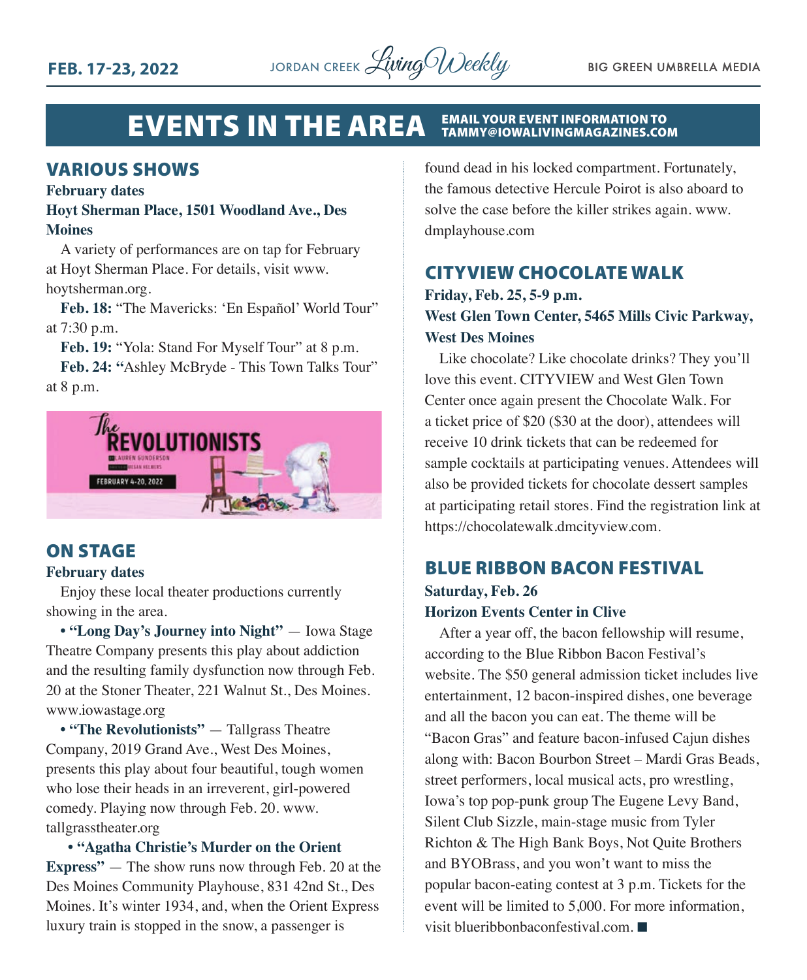

#### EVENTS IN THE AREA EMAIL YOUR EVENT INFORMATION TO TAMMY@IOWALIVINGMAGAZINES.COM

### VARIOUS SHOWS

#### **February dates**

### **Hoyt Sherman Place, 1501 Woodland Ave., Des Moines**

A variety of performances are on tap for February at Hoyt Sherman Place. For details, visit www. hoytsherman.org.

**Feb. 18:** "The Mavericks: 'En Español' World Tour" at 7:30 p.m.

**Feb. 19:** "Yola: Stand For Myself Tour" at 8 p.m.

**Feb. 24: "**Ashley McBryde - This Town Talks Tour" at 8 p.m.



### ON STAGE

### **February dates**

Enjoy these local theater productions currently showing in the area.

**• "Long Day's Journey into Night"** — Iowa Stage Theatre Company presents this play about addiction and the resulting family dysfunction now through Feb. 20 at the Stoner Theater, 221 Walnut St., Des Moines. www.iowastage.org

**• "The Revolutionists"** — Tallgrass Theatre Company, 2019 Grand Ave., West Des Moines, presents this play about four beautiful, tough women who lose their heads in an irreverent, girl-powered comedy. Playing now through Feb. 20. www. tallgrasstheater.org

### **• "Agatha Christie's Murder on the Orient**

**Express"** — The show runs now through Feb. 20 at the Des Moines Community Playhouse, 831 42nd St., Des Moines. It's winter 1934, and, when the Orient Express luxury train is stopped in the snow, a passenger is

found dead in his locked compartment. Fortunately, the famous detective Hercule Poirot is also aboard to solve the case before the killer strikes again. www. dmplayhouse.com

### CITYVIEW CHOCOLATE WALK

### **Friday, Feb. 25, 5-9 p.m. West Glen Town Center, 5465 Mills Civic Parkway, West Des Moines**

Like chocolate? Like chocolate drinks? They you'll love this event. CITYVIEW and West Glen Town Center once again present the Chocolate Walk. For a ticket price of \$20 (\$30 at the door), attendees will receive 10 drink tickets that can be redeemed for sample cocktails at participating venues. Attendees will also be provided tickets for chocolate dessert samples at participating retail stores. Find the registration link at https://chocolatewalk.dmcityview.com.

### BLUE RIBBON BACON FESTIVAL **Saturday, Feb. 26**

### **Horizon Events Center in Clive**

After a year off, the bacon fellowship will resume, according to the Blue Ribbon Bacon Festival's website. The \$50 general admission ticket includes live entertainment, 12 bacon-inspired dishes, one beverage and all the bacon you can eat. The theme will be "Bacon Gras" and feature bacon-infused Cajun dishes along with: Bacon Bourbon Street – Mardi Gras Beads, street performers, local musical acts, pro wrestling, Iowa's top pop-punk group The Eugene Levy Band, Silent Club Sizzle, main-stage music from Tyler Richton & The High Bank Boys, Not Quite Brothers and BYOBrass, and you won't want to miss the popular bacon-eating contest at 3 p.m. Tickets for the event will be limited to 5,000. For more information, visit blueribbonbaconfestival.com.  $\blacksquare$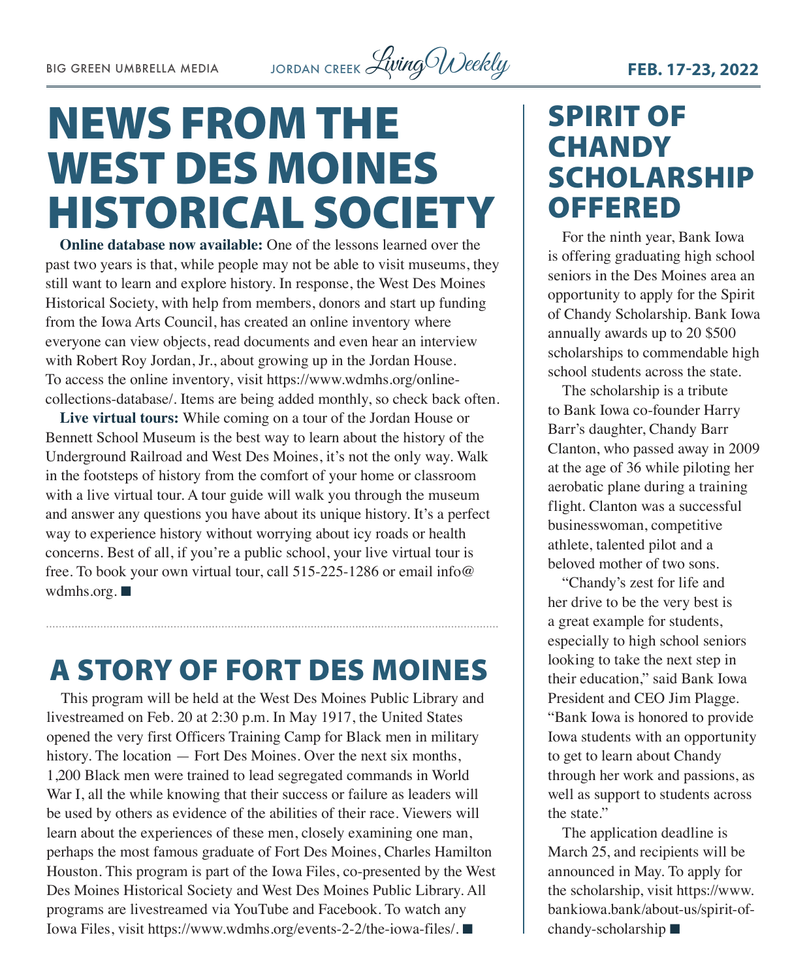

## NEWS FROM THE WEST DES MOINES HISTORICAL SOCIETY

**Online database now available:** One of the lessons learned over the past two years is that, while people may not be able to visit museums, they still want to learn and explore history. In response, the West Des Moines Historical Society, with help from members, donors and start up funding from the Iowa Arts Council, has created an online inventory where everyone can view objects, read documents and even hear an interview with Robert Roy Jordan, Jr., about growing up in the Jordan House. To access the online inventory, visit [https://www.wdmhs.org/online](https://www.wdmhs.org/online-collections-database/)[collections-database/](https://www.wdmhs.org/online-collections-database/). Items are being added monthly, so check back often.

**Live virtual tours:** While coming on a tour of the Jordan House or Bennett School Museum is the best way to learn about the history of the Underground Railroad and West Des Moines, it's not the only way. Walk in the footsteps of history from the comfort of your home or classroom with a live virtual tour. A tour guide will walk you through the museum and answer any questions you have about its unique history. It's a perfect way to experience history without worrying about icy roads or health concerns. Best of all, if you're a public school, your live virtual tour is free. To book your own virtual tour, call 515-225-1286 or email [info@](mailto:info@wdmhs.org) [wdmhs.org.](mailto:info@wdmhs.org)  $\blacksquare$ 

### A STORY OF FORT DES MOINES

This program will be held at the West Des Moines Public Library and livestreamed on Feb. 20 at 2:30 p.m. In May 1917, the United States opened the very first Officers Training Camp for Black men in military history. The location — Fort Des Moines. Over the next six months, 1,200 Black men were trained to lead segregated commands in World War I, all the while knowing that their success or failure as leaders will be used by others as evidence of the abilities of their race. Viewers will learn about the experiences of these men, closely examining one man, perhaps the most famous graduate of Fort Des Moines, Charles Hamilton Houston. This program is part of the Iowa Files, co-presented by the West Des Moines Historical Society and West Des Moines Public Library. All programs are livestreamed via YouTube and Facebook. To watch any Iowa Files, visit<https://www.wdmhs.org/events-2-2/the-iowa-files/>. ■

## SPIRIT OF **CHANDY** SCHOLARSHIP OFFERED

For the ninth year, Bank Iowa is offering graduating high school seniors in the Des Moines area an opportunity to apply for the Spirit of Chandy Scholarship. Bank Iowa annually awards up to 20 \$500 scholarships to commendable high school students across the state.

The scholarship is a tribute to Bank Iowa co-founder Harry Barr's daughter, Chandy Barr Clanton, who passed away in 2009 at the age of 36 while piloting her aerobatic plane during a training flight. Clanton was a successful businesswoman, competitive athlete, talented pilot and a beloved mother of two sons.

"Chandy's zest for life and her drive to be the very best is a great example for students, especially to high school seniors looking to take the next step in their education," said Bank Iowa President and CEO Jim Plagge. "Bank Iowa is honored to provide Iowa students with an opportunity to get to learn about Chandy through her work and passions, as well as support to students across the state."

The application deadline is March 25, and recipients will be announced in May. To apply for the scholarship, visit [https://www.](https://www.bankiowa.bank/about-us/spirit-of-chandy-scholarship) [bankiowa.bank/about-us/spirit-of](https://www.bankiowa.bank/about-us/spirit-of-chandy-scholarship)[chandy-scholarship](https://www.bankiowa.bank/about-us/spirit-of-chandy-scholarship)  $\blacksquare$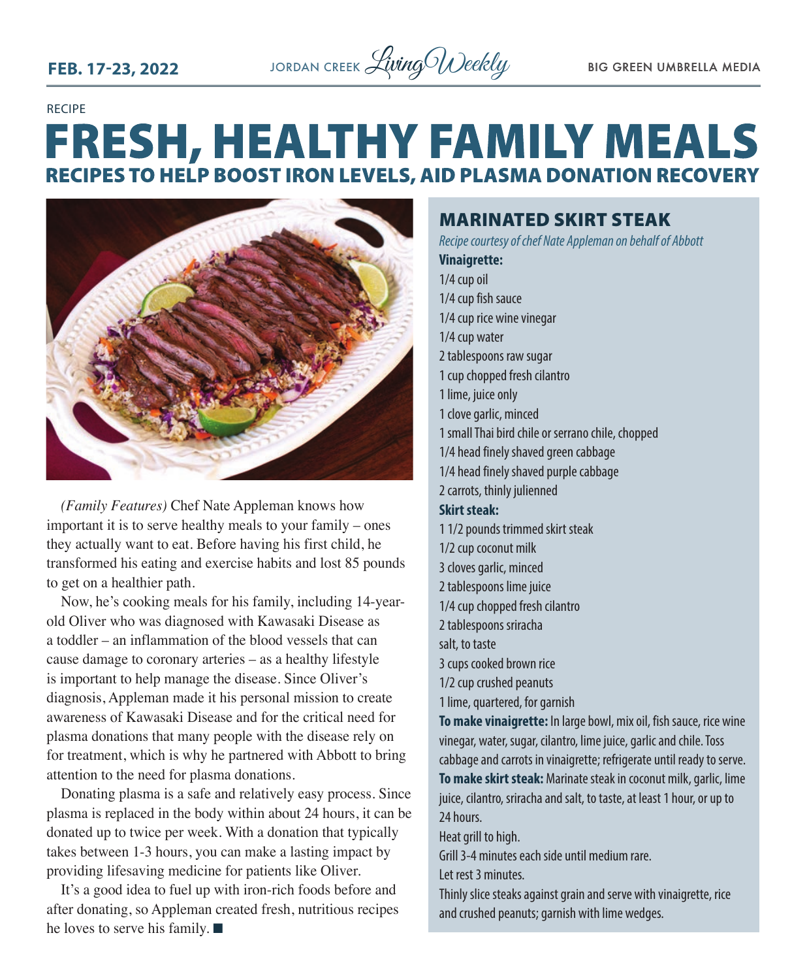

RECIPE

## **FRESH, HEALTHY FAMILY MEALS RECIPES TO HELP BOOST IRON LEVELS, AID PLASMA DONATION RECOVERY**



*(Family Features)* Chef Nate Appleman knows how important it is to serve healthy meals to your family – ones they actually want to eat. Before having his first child, he transformed his eating and exercise habits and lost 85 pounds to get on a healthier path.

Now, he's cooking meals for his family, including 14-yearold Oliver who was diagnosed with Kawasaki Disease as a toddler – an inflammation of the blood vessels that can cause damage to coronary arteries – as a healthy lifestyle is important to help manage the disease. Since Oliver's diagnosis, Appleman made it his personal mission to create awareness of Kawasaki Disease and for the critical need for plasma donations that many people with the disease rely on for treatment, which is why he partnered with Abbott to bring attention to the need for plasma donations.

Donating plasma is a safe and relatively easy process. Since plasma is replaced in the body within about 24 hours, it can be donated up to twice per week. With a donation that typically takes between 1-3 hours, you can make a lasting impact by providing lifesaving medicine for patients like Oliver.

It's a good idea to fuel up with iron-rich foods before and after donating, so Appleman created fresh, nutritious recipes he loves to serve his family.  $\blacksquare$ 

### MARINATED SKIRT STEAK

*Recipe courtesy of chef Nate Appleman on behalf of Abbott*

**Vinaigrette:** 1/4 cup oil 1/4 cup fish sauce 1/4 cup rice wine vinegar 1/4 cup water 2 tablespoons raw sugar 1 cup chopped fresh cilantro 1 lime, juice only 1 clove garlic, minced 1 small Thai bird chile or serrano chile, chopped 1/4 head finely shaved green cabbage 1/4 head finely shaved purple cabbage 2 carrots, thinly julienned **Skirt steak:**  1 1/2 pounds trimmed skirt steak 1/2 cup coconut milk 3 cloves garlic, minced 2 tablespoons lime juice 1/4 cup chopped fresh cilantro 2 tablespoons sriracha salt, to taste 3 cups cooked brown rice 1/2 cup crushed peanuts 1 lime, quartered, for garnish **To make vinaigrette:** In large bowl, mix oil, fish sauce, rice wine vinegar, water, sugar, cilantro, lime juice, garlic and chile. Toss cabbage and carrots in vinaigrette; refrigerate until ready to serve. **To make skirt steak:** Marinate steak in coconut milk, garlic, lime juice, cilantro, sriracha and salt, to taste, at least 1 hour, or up to 24 hours. Heat grill to high. Grill 3-4 minutes each side until medium rare. Let rest 3 minutes.

Thinly slice steaks against grain and serve with vinaigrette, rice and crushed peanuts; garnish with lime wedges.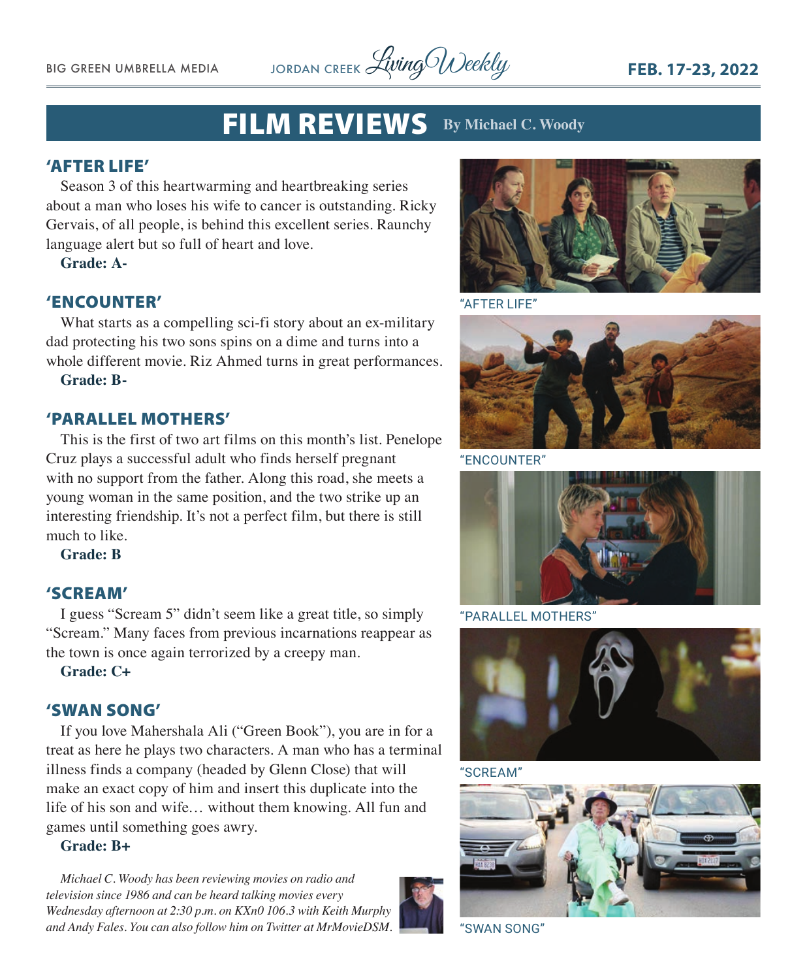BIG GREEN UMBRELLA MEDIA JORDAN CREEK *Living Weekly* FEB. 17-23, 2022

### FILM REVIEWS **By Michael C. Woody**

### 'AFTER LIFE'

Season 3 of this heartwarming and heartbreaking series about a man who loses his wife to cancer is outstanding. Ricky Gervais, of all people, is behind this excellent series. Raunchy language alert but so full of heart and love.

**Grade: A-**

### 'ENCOUNTER'

What starts as a compelling sci-fi story about an ex-military dad protecting his two sons spins on a dime and turns into a whole different movie. Riz Ahmed turns in great performances.

**Grade: B-**

### 'PARALLEL MOTHERS'

This is the first of two art films on this month's list. Penelope Cruz plays a successful adult who finds herself pregnant with no support from the father. Along this road, she meets a young woman in the same position, and the two strike up an interesting friendship. It's not a perfect film, but there is still much to like.

**Grade: B**

### 'SCREAM'

I guess "Scream 5" didn't seem like a great title, so simply "Scream." Many faces from previous incarnations reappear as the town is once again terrorized by a creepy man.

**Grade: C+**

### 'SWAN SONG'

If you love Mahershala Ali ("Green Book"), you are in for a treat as here he plays two characters. A man who has a terminal illness finds a company (headed by Glenn Close) that will make an exact copy of him and insert this duplicate into the life of his son and wife… without them knowing. All fun and games until something goes awry.

### **Grade: B+**

*Michael C. Woody has been reviewing movies on radio and television since 1986 and can be heard talking movies every Wednesday afternoon at 2:30 p.m. on KXn0 106.3 with Keith Murphy and Andy Fales. You can also follow him on Twitter at MrMovieDSM.* "SWAN SONG"





"AFTER LIFE"



"ENCOUNTER"



"PARALLEL MOTHERS"



"SCREAM"